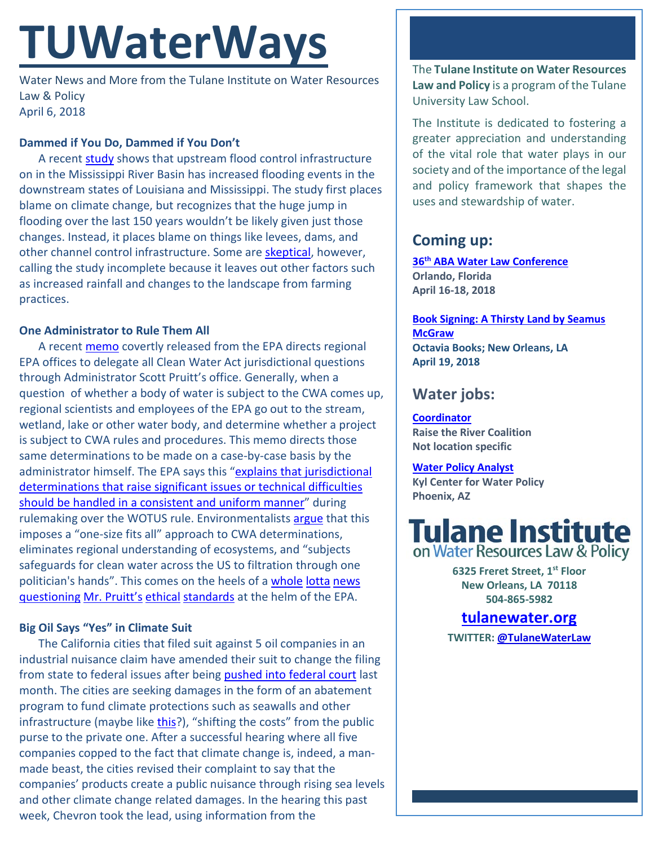# **TUWaterWays**

Water News and More from the Tulane Institute on Water Resources Law & Policy April 6, 2018

## **Dammed if You Do, Dammed if You Don't**

A recent [study](https://www.nature.com/articles/nature26145) shows that upstream flood control infrastructure on in the Mississippi River Basin has increased flooding events in the downstream states of Louisiana and Mississippi. The study first places blame on climate change, but recognizes that the huge jump in flooding over the last 150 years wouldn't be likely given just those changes. Instead, it places blame on things like levees, dams, and other channel control infrastructure. Some are [skeptical,](http://www.nola.com/environment/index.ssf/2018/04/mississippi_river_flood_contro.html#incart_2box) however, calling the study incomplete because it leaves out other factors such as increased rainfall and changes to the landscape from farming practices.

## **One Administrator to Rule Them All**

A recent [memo](https://www.peer.org/assets/docs/wetlands/4_4_18_Pruitt_memo.pdf) covertly released from the EPA directs regional EPA offices to delegate all Clean Water Act jurisdictional questions through Administrator Scott Pruitt's office. Generally, when a question of whether a body of water is subject to the CWA comes up, regional scientists and employees of the EPA go out to the stream, wetland, lake or other water body, and determine whether a project is subject to CWA rules and procedures. This memo directs those same determinations to be made on a case-by-case basis by the administrator himself. The EPA says this ["explains that jurisdictional](https://www.cnn.com/2018/04/04/politics/clean-water-act-epa-memo/index.html)  determinations that raise significant issues or technical difficulties [should be handled in a consistent and uniform manner"](https://www.cnn.com/2018/04/04/politics/clean-water-act-epa-memo/index.html) during rulemaking over the WOTUS rule. Environmentalists [argue](https://www.peer.org/news/news-releases/pruitt-hijacks-national-stream-and-wetlands-protections.html) that this imposes a "one-size fits all" approach to CWA determinations, eliminates regional understanding of ecosystems, and "subjects safeguards for clean water across the US to filtration through one politician's hands". This comes on the heels of [a whole](http://time.com/5228979/why-scott-pruitt-rollback-of-emissions-standards-fell-flat/) [lotta](https://www.theatlantic.com/politics/archive/2018/04/pruitt-epa/557123/) [news](http://www.miamiherald.com/opinion/editorials/article207993954.html) [questioning](http://thehill.com/opinion/white-house/381687-scott-pruitt-does-his-part-to-help-donald-trump-drain-the-swamp) [Mr. Pruitt's](https://www.npr.org/2018/04/04/599591486/dogged-by-scandal-epas-pruitt-turns-to-damage-control) [ethical](https://www.bloomberg.com/news/articles/2018-03-30/epa-chief-s-50-a-night-rental-said-to-raise-white-house-angst) [standards](https://www.bloomberg.com/news/articles/2018-04-05/ethics-memo-raises-fresh-questions-for-embattled-epa-chief) at the helm of the EPA.

## **Big Oil Says "Yes" in Climate Suit**

The California cities that filed suit against 5 oil companies in an industrial nuisance claim have amended their suit to change the filing from state to federal issues after being **pushed into federal court** last month. The cities are seeking damages in the form of an abatement program to fund climate protections such as seawalls and other infrastructure (maybe like [this?](https://www.eenews.net/climatewire/2018/03/29/stories/1060077703)), "shifting the costs" from the public purse to the private one. After a successful hearing where all five companies copped to the fact that climate change is, indeed, a manmade beast, the cities revised their complaint to say that the companies' products create a public nuisance through rising sea levels and other climate change related damages. In the hearing this past week, Chevron took the lead, using information from the

The **Tulane Institute on Water Resources Law and Policy** is a program of the Tulane University Law School.

The Institute is dedicated to fostering a greater appreciation and understanding of the vital role that water plays in our society and of the importance of the legal and policy framework that shapes the uses and stewardship of water.

## **Coming up:**

**36th [ABA Water Law Conference](https://shop.americanbar.org/ebus/ABAEventsCalendar/EventDetails.aspx?productId=280694689) Orlando, Florida April 16-18, 2018** 

**[Book Signing: A Thirsty Land by Seamus](http://www.octaviabooks.com/event/seamus-mcgraw-thirsty-land)  [McGraw](http://www.octaviabooks.com/event/seamus-mcgraw-thirsty-land) Octavia Books; New Orleans, LA April 19, 2018**

## **Water jobs:**

**[Coordinator](https://raisetheriver.org/raise-river-job-opportunity-coordinator/) Raise the River Coalition Not location specific**

**[Water Policy Analyst](https://sjobs.brassring.com/TGnewUI/Search/home/HomeWithPreLoad?partnerid=25620&siteid=5494&PageType=JobDetails&jobid=3367158#jobDetails=3367158_5494) Kyl Center for Water Policy Phoenix, AZ**



**6325 Freret Street, 1st Floor New Orleans, LA 70118 504-865-5982** 

## **tulanewater.org**

**TWITTER[: @TulaneWaterLaw](http://www.twitter.com/TulaneWaterLaw)**